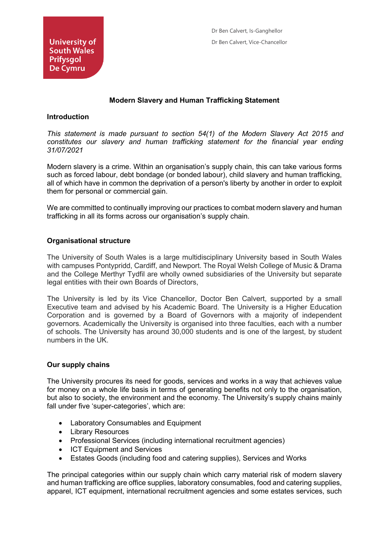# **Modern Slavery and Human Trafficking Statement**

#### **Introduction**

*This statement is made pursuant to section 54(1) of the Modern Slavery Act 2015 and constitutes our slavery and human trafficking statement for the financial year ending 31/07/2021*

Modern slavery is a crime. Within an organisation's supply chain, this can take various forms such as forced labour, debt bondage (or bonded labour), child slavery and human trafficking, all of which have in common the deprivation of a person's liberty by another in order to exploit them for personal or commercial gain.

We are committed to continually improving our practices to combat modern slavery and human trafficking in all its forms across our organisation's supply chain.

### **Organisational structure**

The University of South Wales is a large multidisciplinary University based in South Wales with campuses Pontypridd, Cardiff, and Newport. The Royal Welsh College of Music & Drama and the College Merthyr Tydfil are wholly owned subsidiaries of the University but separate legal entities with their own Boards of Directors,

The University is led by its Vice Chancellor, Doctor Ben Calvert, supported by a small Executive team and advised by his Academic Board. The University is a Higher Education Corporation and is governed by a Board of Governors with a majority of independent governors. Academically the University is organised into three faculties, each with a number of schools. The University has around 30,000 students and is one of the largest, by student numbers in the UK.

### **Our supply chains**

The University procures its need for goods, services and works in a way that achieves value for money on a whole life basis in terms of generating benefits not only to the organisation, but also to society, the environment and the economy. The University's supply chains mainly fall under five 'super-categories', which are:

- Laboratory Consumables and Equipment
- Library Resources
- Professional Services (including international recruitment agencies)
- ICT Equipment and Services
- Estates Goods (including food and catering supplies), Services and Works

The principal categories within our supply chain which carry material risk of modern slavery and human trafficking are office supplies, laboratory consumables, food and catering supplies, apparel, ICT equipment, international recruitment agencies and some estates services, such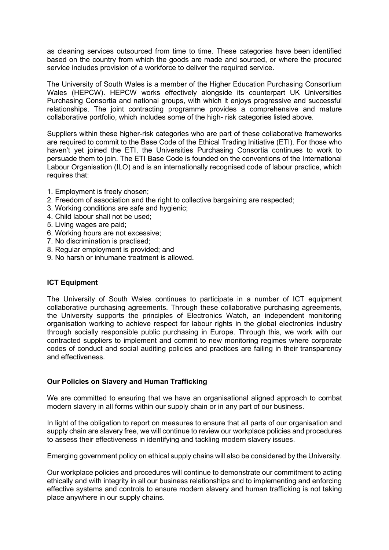as cleaning services outsourced from time to time. These categories have been identified based on the country from which the goods are made and sourced, or where the procured service includes provision of a workforce to deliver the required service.

The University of South Wales is a member of the Higher Education Purchasing Consortium Wales (HEPCW). HEPCW works effectively alongside its counterpart UK Universities Purchasing Consortia and national groups, with which it enjoys progressive and successful relationships. The joint contracting programme provides a comprehensive and mature collaborative portfolio, which includes some of the high- risk categories listed above.

Suppliers within these higher-risk categories who are part of these collaborative frameworks are required to commit to the Base Code of the Ethical Trading Initiative (ETI). For those who haven't yet joined the ETI, the Universities Purchasing Consortia continues to work to persuade them to join. The ETI Base Code is founded on the conventions of the International Labour Organisation (ILO) and is an internationally recognised code of labour practice, which requires that:

- 1. Employment is freely chosen;
- 2. Freedom of association and the right to collective bargaining are respected;
- 3. Working conditions are safe and hygienic;
- 4. Child labour shall not be used;
- 5. Living wages are paid;
- 6. Working hours are not excessive;
- 7. No discrimination is practised;
- 8. Regular employment is provided; and
- 9. No harsh or inhumane treatment is allowed.

## **ICT Equipment**

The University of South Wales continues to participate in a number of ICT equipment collaborative purchasing agreements. Through these collaborative purchasing agreements, the University supports the principles of Electronics Watch, an independent monitoring organisation working to achieve respect for labour rights in the global electronics industry through socially responsible public purchasing in Europe. Through this, we work with our contracted suppliers to implement and commit to new monitoring regimes where corporate codes of conduct and social auditing policies and practices are failing in their transparency and effectiveness.

## **Our Policies on Slavery and Human Trafficking**

We are committed to ensuring that we have an organisational aligned approach to combat modern slavery in all forms within our supply chain or in any part of our business.

In light of the obligation to report on measures to ensure that all parts of our organisation and supply chain are slavery free, we will continue to review our workplace policies and procedures to assess their effectiveness in identifying and tackling modern slavery issues.

Emerging government policy on ethical supply chains will also be considered by the University.

Our workplace policies and procedures will continue to demonstrate our commitment to acting ethically and with integrity in all our business relationships and to implementing and enforcing effective systems and controls to ensure modern slavery and human trafficking is not taking place anywhere in our supply chains.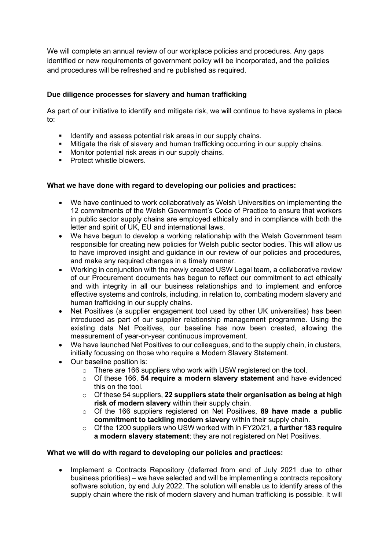We will complete an annual review of our workplace policies and procedures. Any gaps identified or new requirements of government policy will be incorporated, and the policies and procedures will be refreshed and re published as required.

# **Due diligence processes for slavery and human trafficking**

As part of our initiative to identify and mitigate risk, we will continue to have systems in place to:

- Identify and assess potential risk areas in our supply chains.
- Mitigate the risk of slavery and human trafficking occurring in our supply chains.
- **Monitor potential risk areas in our supply chains.**
- **Protect whistle blowers.**

## **What we have done with regard to developing our policies and practices:**

- We have continued to work collaboratively as Welsh Universities on implementing the 12 commitments of the Welsh Government's Code of Practice to ensure that workers in public sector supply chains are employed ethically and in compliance with both the letter and spirit of UK, EU and international laws.
- We have begun to develop a working relationship with the Welsh Government team responsible for creating new policies for Welsh public sector bodies. This will allow us to have improved insight and guidance in our review of our policies and procedures, and make any required changes in a timely manner.
- Working in conjunction with the newly created USW Legal team, a collaborative review of our Procurement documents has begun to reflect our commitment to act ethically and with integrity in all our business relationships and to implement and enforce effective systems and controls, including, in relation to, combating modern slavery and human trafficking in our supply chains.
- Net Positives (a supplier engagement tool used by other UK universities) has been introduced as part of our supplier relationship management programme. Using the existing data Net Positives, our baseline has now been created, allowing the measurement of year-on-year continuous improvement.
- We have launched Net Positives to our colleagues, and to the supply chain, in clusters, initially focussing on those who require a Modern Slavery Statement.
- Our baseline position is:
	- o There are 166 suppliers who work with USW registered on the tool.
	- o Of these 166, **54 require a modern slavery statement** and have evidenced this on the tool.
	- o Of these 54 suppliers, **22 suppliers state their organisation as being at high risk of modern slavery** within their supply chain.
	- o Of the 166 suppliers registered on Net Positives, **89 have made a public commitment to tackling modern slavery** within their supply chain.
	- o Of the 1200 suppliers who USW worked with in FY20/21, **a further 183 require a modern slavery statement**; they are not registered on Net Positives.

## **What we will do with regard to developing our policies and practices:**

• Implement a Contracts Repository (deferred from end of July 2021 due to other business priorities) – we have selected and will be implementing a contracts repository software solution, by end July 2022. The solution will enable us to identify areas of the supply chain where the risk of modern slavery and human trafficking is possible. It will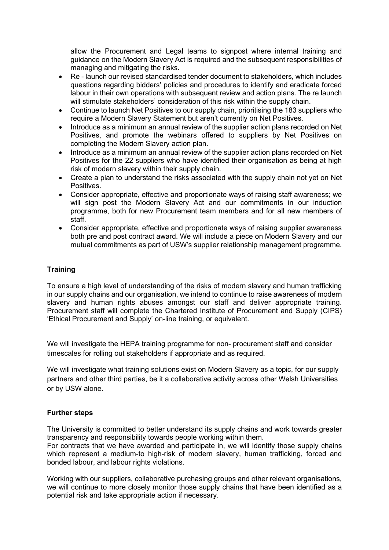allow the Procurement and Legal teams to signpost where internal training and guidance on the Modern Slavery Act is required and the subsequent responsibilities of managing and mitigating the risks.

- Re launch our revised standardised tender document to stakeholders, which includes questions regarding bidders' policies and procedures to identify and eradicate forced labour in their own operations with subsequent review and action plans. The re launch will stimulate stakeholders' consideration of this risk within the supply chain.
- Continue to launch Net Positives to our supply chain, prioritising the 183 suppliers who require a Modern Slavery Statement but aren't currently on Net Positives.
- Introduce as a minimum an annual review of the supplier action plans recorded on Net Positives, and promote the webinars offered to suppliers by Net Positives on completing the Modern Slavery action plan.
- Introduce as a minimum an annual review of the supplier action plans recorded on Net Positives for the 22 suppliers who have identified their organisation as being at high risk of modern slavery within their supply chain.
- Create a plan to understand the risks associated with the supply chain not yet on Net Positives.
- Consider appropriate, effective and proportionate ways of raising staff awareness; we will sign post the Modern Slavery Act and our commitments in our induction programme, both for new Procurement team members and for all new members of staff.
- Consider appropriate, effective and proportionate ways of raising supplier awareness both pre and post contract award. We will include a piece on Modern Slavery and our mutual commitments as part of USW's supplier relationship management programme.

# **Training**

To ensure a high level of understanding of the risks of modern slavery and human trafficking in our supply chains and our organisation, we intend to continue to raise awareness of modern slavery and human rights abuses amongst our staff and deliver appropriate training. Procurement staff will complete the Chartered Institute of Procurement and Supply (CIPS) 'Ethical Procurement and Supply' on-line training, or equivalent.

We will investigate the HEPA training programme for non- procurement staff and consider timescales for rolling out stakeholders if appropriate and as required.

We will investigate what training solutions exist on Modern Slavery as a topic, for our supply partners and other third parties, be it a collaborative activity across other Welsh Universities or by USW alone.

## **Further steps**

The University is committed to better understand its supply chains and work towards greater transparency and responsibility towards people working within them.

For contracts that we have awarded and participate in, we will identify those supply chains which represent a medium-to high-risk of modern slavery, human trafficking, forced and bonded labour, and labour rights violations.

Working with our suppliers, collaborative purchasing groups and other relevant organisations, we will continue to more closely monitor those supply chains that have been identified as a potential risk and take appropriate action if necessary.